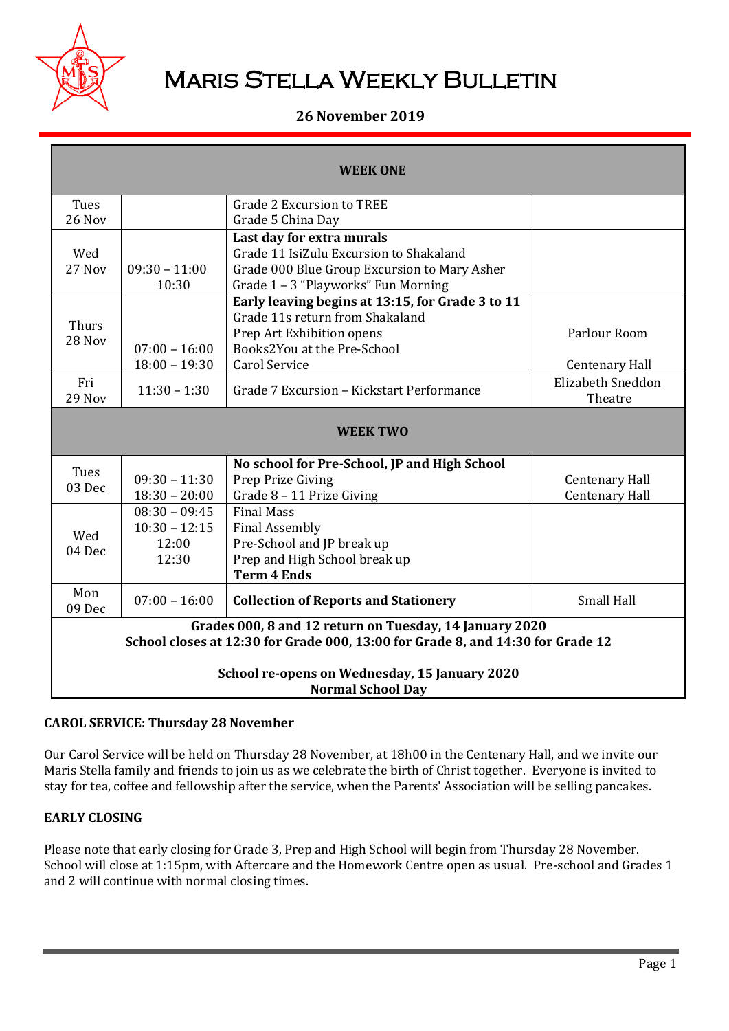

# **MARIS STELLA WEEKLY BULLETIN**

# **26 November 2019**

| <b>WEEK ONE</b>                                                                                                                            |                                                      |                                                                                                                                                                         |                                                |
|--------------------------------------------------------------------------------------------------------------------------------------------|------------------------------------------------------|-------------------------------------------------------------------------------------------------------------------------------------------------------------------------|------------------------------------------------|
| Tues<br>26 Nov                                                                                                                             |                                                      | <b>Grade 2 Excursion to TREE</b><br>Grade 5 China Day                                                                                                                   |                                                |
| Wed<br>27 Nov                                                                                                                              | $09:30 - 11:00$<br>10:30                             | Last day for extra murals<br>Grade 11 IsiZulu Excursion to Shakaland<br>Grade 000 Blue Group Excursion to Mary Asher<br>Grade 1 - 3 "Playworks" Fun Morning             |                                                |
| Thurs<br>28 Nov                                                                                                                            | $07:00 - 16:00$<br>$18:00 - 19:30$                   | Early leaving begins at 13:15, for Grade 3 to 11<br>Grade 11s return from Shakaland<br>Prep Art Exhibition opens<br>Books2You at the Pre-School<br><b>Carol Service</b> | Parlour Room<br><b>Centenary Hall</b>          |
| Fri<br><b>29 Nov</b>                                                                                                                       | $11:30 - 1:30$                                       | Grade 7 Excursion - Kickstart Performance                                                                                                                               | <b>Elizabeth Sneddon</b><br>Theatre            |
| <b>WEEK TWO</b>                                                                                                                            |                                                      |                                                                                                                                                                         |                                                |
| Tues<br>03 Dec                                                                                                                             | $09:30 - 11:30$<br>$18:30 - 20:00$                   | No school for Pre-School, JP and High School<br>Prep Prize Giving<br>Grade 8 - 11 Prize Giving                                                                          | <b>Centenary Hall</b><br><b>Centenary Hall</b> |
| Wed<br>04 Dec                                                                                                                              | $08:30 - 09:45$<br>$10:30 - 12:15$<br>12:00<br>12:30 | <b>Final Mass</b><br><b>Final Assembly</b><br>Pre-School and JP break up<br>Prep and High School break up<br><b>Term 4 Ends</b>                                         |                                                |
| Mon<br>09 Dec                                                                                                                              | $07:00 - 16:00$                                      | <b>Collection of Reports and Stationery</b>                                                                                                                             | <b>Small Hall</b>                              |
| Grades 000, 8 and 12 return on Tuesday, 14 January 2020<br>School closes at 12:30 for Grade 000, 13:00 for Grade 8, and 14:30 for Grade 12 |                                                      |                                                                                                                                                                         |                                                |
| School re-opens on Wednesday, 15 January 2020<br><b>Normal School Day</b>                                                                  |                                                      |                                                                                                                                                                         |                                                |

## **CAROL SERVICE: Thursday 28 November**

Our Carol Service will be held on Thursday 28 November, at 18h00 in the Centenary Hall, and we invite our Maris Stella family and friends to join us as we celebrate the birth of Christ together. Everyone is invited to stay for tea, coffee and fellowship after the service, when the Parents' Association will be selling pancakes.

## **EARLY CLOSING**

Please note that early closing for Grade 3, Prep and High School will begin from Thursday 28 November. School will close at 1:15pm, with Aftercare and the Homework Centre open as usual. Pre-school and Grades 1 and 2 will continue with normal closing times.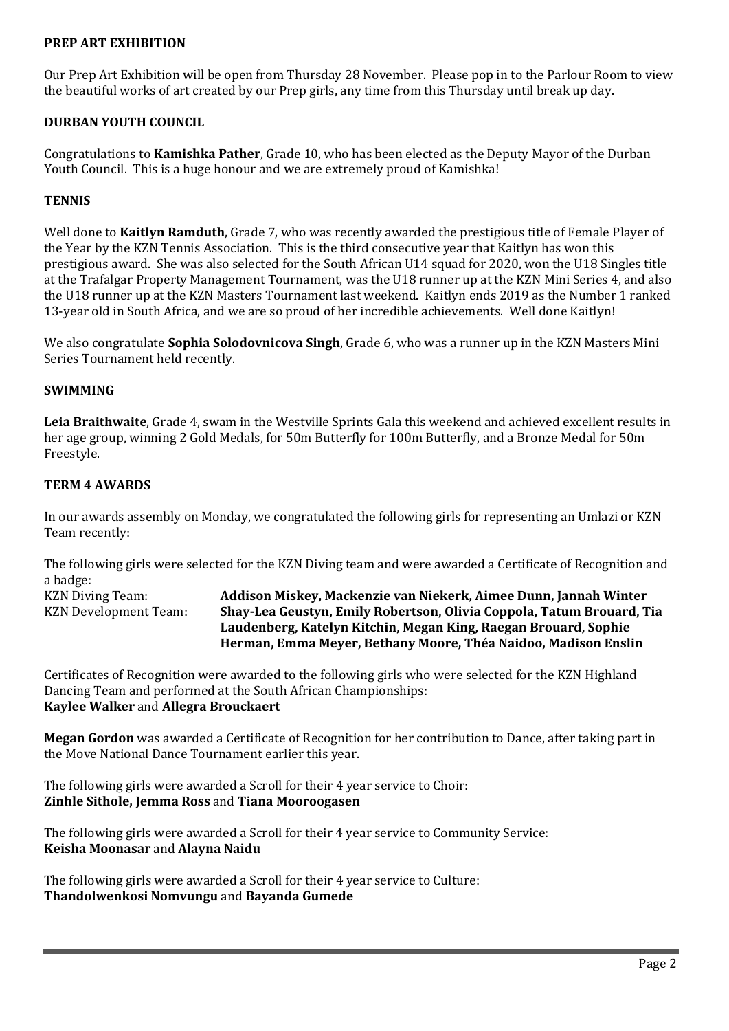## **PREP ART EXHIBITION**

Our Prep Art Exhibition will be open from Thursday 28 November. Please pop in to the Parlour Room to view the beautiful works of art created by our Prep girls, any time from this Thursday until break up day.

### **DURBAN YOUTH COUNCIL**

Congratulations to **Kamishka Pather**, Grade 10, who has been elected as the Deputy Mayor of the Durban Youth Council. This is a huge honour and we are extremely proud of Kamishka!

#### **TENNIS**

Well done to **Kaitlyn Ramduth**, Grade 7, who was recently awarded the prestigious title of Female Player of the Year by the KZN Tennis Association. This is the third consecutive year that Kaitlyn has won this prestigious award. She was also selected for the South African U14 squad for 2020, won the U18 Singles title at the Trafalgar Property Management Tournament, was the U18 runner up at the KZN Mini Series 4, and also the U18 runner up at the KZN Masters Tournament last weekend. Kaitlyn ends 2019 as the Number 1 ranked 13-year old in South Africa, and we are so proud of her incredible achievements. Well done Kaitlyn!

We also congratulate **Sophia Solodovnicova Singh**, Grade 6, who was a runner up in the KZN Masters Mini Series Tournament held recently.

## **SWIMMING**

**Leia Braithwaite**, Grade 4, swam in the Westville Sprints Gala this weekend and achieved excellent results in her age group, winning 2 Gold Medals, for 50m Butterfly for 100m Butterfly, and a Bronze Medal for 50m Freestyle.

#### **TERM 4 AWARDS**

In our awards assembly on Monday, we congratulated the following girls for representing an Umlazi or KZN Team recently:

The following girls were selected for the KZN Diving team and were awarded a Certificate of Recognition and a badge:

KZN Diving Team: **Addison Miskey, Mackenzie van Niekerk, Aimee Dunn, Jannah Winter** KZN Development Team: **Shay-Lea Geustyn, Emily Robertson, Olivia Coppola, Tatum Brouard, Tia Laudenberg, Katelyn Kitchin, Megan King, Raegan Brouard, Sophie Herman, Emma Meyer, Bethany Moore, Théa Naidoo, Madison Enslin**

Certificates of Recognition were awarded to the following girls who were selected for the KZN Highland Dancing Team and performed at the South African Championships: **Kaylee Walker** and **Allegra Brouckaert**

**Megan Gordon** was awarded a Certificate of Recognition for her contribution to Dance, after taking part in the Move National Dance Tournament earlier this year.

The following girls were awarded a Scroll for their 4 year service to Choir: **Zinhle Sithole, Jemma Ross** and **Tiana Mooroogasen**

The following girls were awarded a Scroll for their 4 year service to Community Service: **Keisha Moonasar** and **Alayna Naidu**

The following girls were awarded a Scroll for their 4 year service to Culture: **Thandolwenkosi Nomvungu** and **Bayanda Gumede**